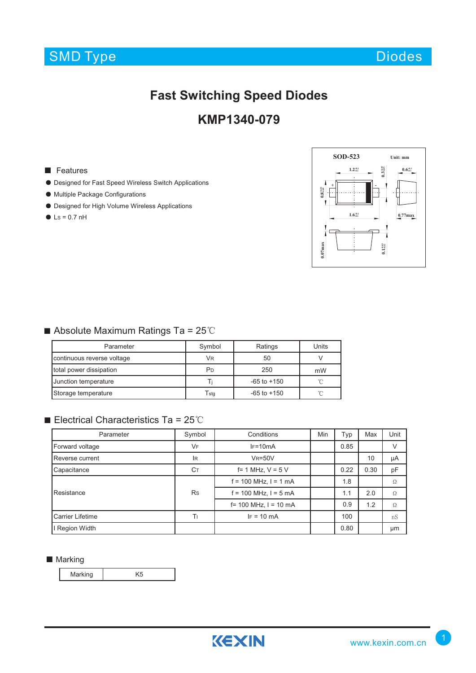

# **Fast Switching Speed Diodes**

## **KMP1340-079**

#### ■ Features

- Designed for Fast Speed Wireless Switch Applications
- Multiple Package Configurations
- Designed for High Volume Wireless Applications
- $\bullet$  Ls = 0.7 nH



## ■ Absolute Maximum Ratings Ta = 25℃

| Parameter                  | Symbol                      | Ratings         | Units |
|----------------------------|-----------------------------|-----------------|-------|
| continuous reverse voltage | VR                          | 50              |       |
| total power dissipation    | P <sub>D</sub>              | 250             | mW    |
| Junction temperature       |                             | $-65$ to $+150$ |       |
| Storage temperature        | $\mathsf{T}_{\mathsf{std}}$ | $-65$ to $+150$ |       |

## ■ Electrical Characteristics Ta = 25℃

| Parameter        | Symbol    | Conditions                 | Min | Typ  | Max  | Unit |
|------------------|-----------|----------------------------|-----|------|------|------|
| Forward voltage  | VF        | $IF=10mA$                  |     | 0.85 |      | V    |
| Reverse current  | lR.       | $V_R = 50V$                |     |      | 10   | μA   |
| Capacitance      | Cт        | $f = 1$ MHz, $V = 5$ V     |     | 0.22 | 0.30 | pF   |
| Resistance       | <b>Rs</b> | $f = 100$ MHz, $I = 1$ mA  |     | 1.8  |      | Ω    |
|                  |           | $f = 100$ MHz, $l = 5$ mA  |     |      | 2.0  | Ω    |
|                  |           | $f = 100$ MHz, $l = 10$ mA |     |      | 1.2  | Ω    |
| Carrier Lifetime | Tι        | $IF = 10 mA$               |     | 100  |      | nS   |
| I Region Width   |           |                            |     | 0.80 |      | μm   |

#### ■ Marking

Marking K5